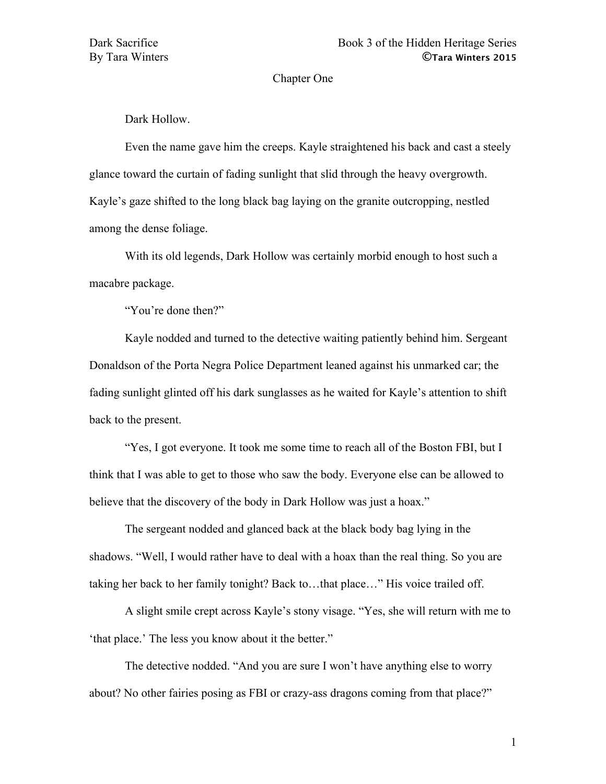### Chapter One

Dark Hollow.

Even the name gave him the creeps. Kayle straightened his back and cast a steely glance toward the curtain of fading sunlight that slid through the heavy overgrowth. Kayle's gaze shifted to the long black bag laying on the granite outcropping, nestled among the dense foliage.

With its old legends, Dark Hollow was certainly morbid enough to host such a macabre package.

"You're done then?"

Kayle nodded and turned to the detective waiting patiently behind him. Sergeant Donaldson of the Porta Negra Police Department leaned against his unmarked car; the fading sunlight glinted off his dark sunglasses as he waited for Kayle's attention to shift back to the present.

"Yes, I got everyone. It took me some time to reach all of the Boston FBI, but I think that I was able to get to those who saw the body. Everyone else can be allowed to believe that the discovery of the body in Dark Hollow was just a hoax."

The sergeant nodded and glanced back at the black body bag lying in the shadows. "Well, I would rather have to deal with a hoax than the real thing. So you are taking her back to her family tonight? Back to…that place…" His voice trailed off.

A slight smile crept across Kayle's stony visage. "Yes, she will return with me to 'that place.' The less you know about it the better."

The detective nodded. "And you are sure I won't have anything else to worry about? No other fairies posing as FBI or crazy-ass dragons coming from that place?"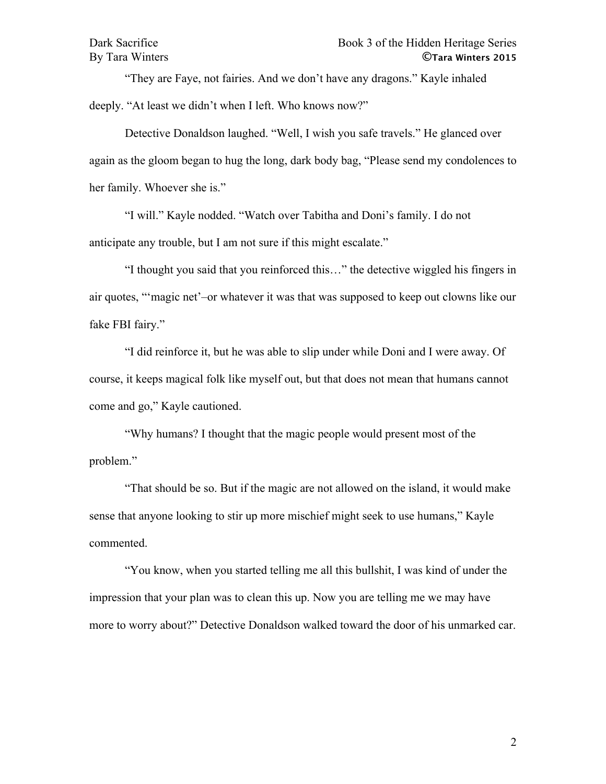"They are Faye, not fairies. And we don't have any dragons." Kayle inhaled deeply. "At least we didn't when I left. Who knows now?"

Detective Donaldson laughed. "Well, I wish you safe travels." He glanced over again as the gloom began to hug the long, dark body bag, "Please send my condolences to her family. Whoever she is."

"I will." Kayle nodded. "Watch over Tabitha and Doni's family. I do not anticipate any trouble, but I am not sure if this might escalate."

"I thought you said that you reinforced this…" the detective wiggled his fingers in air quotes, "'magic net'–or whatever it was that was supposed to keep out clowns like our fake FBI fairy."

"I did reinforce it, but he was able to slip under while Doni and I were away. Of course, it keeps magical folk like myself out, but that does not mean that humans cannot come and go," Kayle cautioned.

"Why humans? I thought that the magic people would present most of the problem."

"That should be so. But if the magic are not allowed on the island, it would make sense that anyone looking to stir up more mischief might seek to use humans," Kayle commented.

"You know, when you started telling me all this bullshit, I was kind of under the impression that your plan was to clean this up. Now you are telling me we may have more to worry about?" Detective Donaldson walked toward the door of his unmarked car.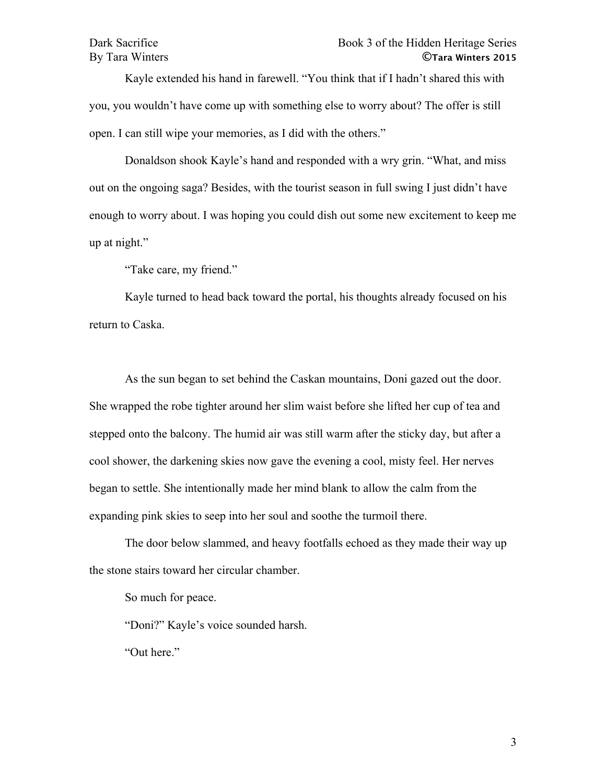Kayle extended his hand in farewell. "You think that if I hadn't shared this with you, you wouldn't have come up with something else to worry about? The offer is still open. I can still wipe your memories, as I did with the others."

Donaldson shook Kayle's hand and responded with a wry grin. "What, and miss out on the ongoing saga? Besides, with the tourist season in full swing I just didn't have enough to worry about. I was hoping you could dish out some new excitement to keep me up at night."

"Take care, my friend."

Kayle turned to head back toward the portal, his thoughts already focused on his return to Caska.

As the sun began to set behind the Caskan mountains, Doni gazed out the door. She wrapped the robe tighter around her slim waist before she lifted her cup of tea and stepped onto the balcony. The humid air was still warm after the sticky day, but after a cool shower, the darkening skies now gave the evening a cool, misty feel. Her nerves began to settle. She intentionally made her mind blank to allow the calm from the expanding pink skies to seep into her soul and soothe the turmoil there.

The door below slammed, and heavy footfalls echoed as they made their way up the stone stairs toward her circular chamber.

So much for peace.

"Doni?" Kayle's voice sounded harsh.

"Out here."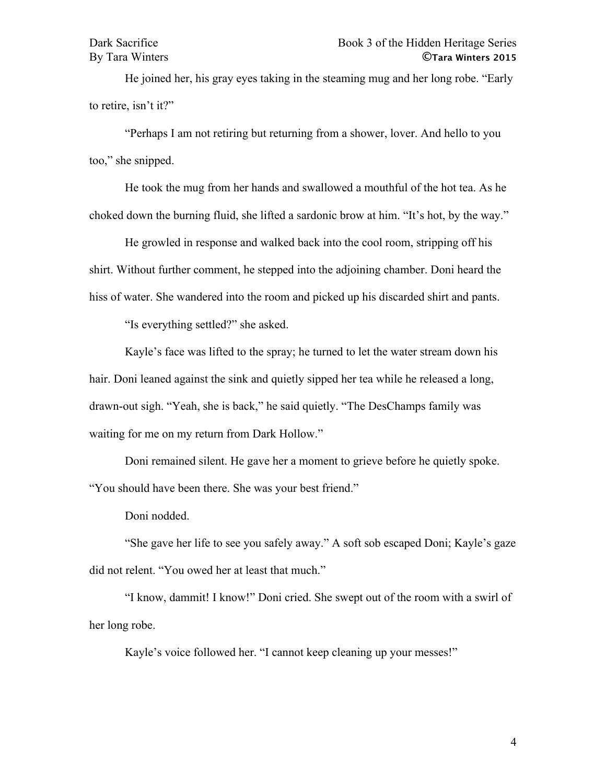He joined her, his gray eyes taking in the steaming mug and her long robe. "Early to retire, isn't it?"

"Perhaps I am not retiring but returning from a shower, lover. And hello to you too," she snipped.

He took the mug from her hands and swallowed a mouthful of the hot tea. As he choked down the burning fluid, she lifted a sardonic brow at him. "It's hot, by the way."

He growled in response and walked back into the cool room, stripping off his shirt. Without further comment, he stepped into the adjoining chamber. Doni heard the hiss of water. She wandered into the room and picked up his discarded shirt and pants.

"Is everything settled?" she asked.

Kayle's face was lifted to the spray; he turned to let the water stream down his hair. Doni leaned against the sink and quietly sipped her tea while he released a long, drawn-out sigh. "Yeah, she is back," he said quietly. "The DesChamps family was waiting for me on my return from Dark Hollow."

Doni remained silent. He gave her a moment to grieve before he quietly spoke. "You should have been there. She was your best friend."

Doni nodded.

"She gave her life to see you safely away." A soft sob escaped Doni; Kayle's gaze did not relent. "You owed her at least that much."

"I know, dammit! I know!" Doni cried. She swept out of the room with a swirl of her long robe.

Kayle's voice followed her. "I cannot keep cleaning up your messes!"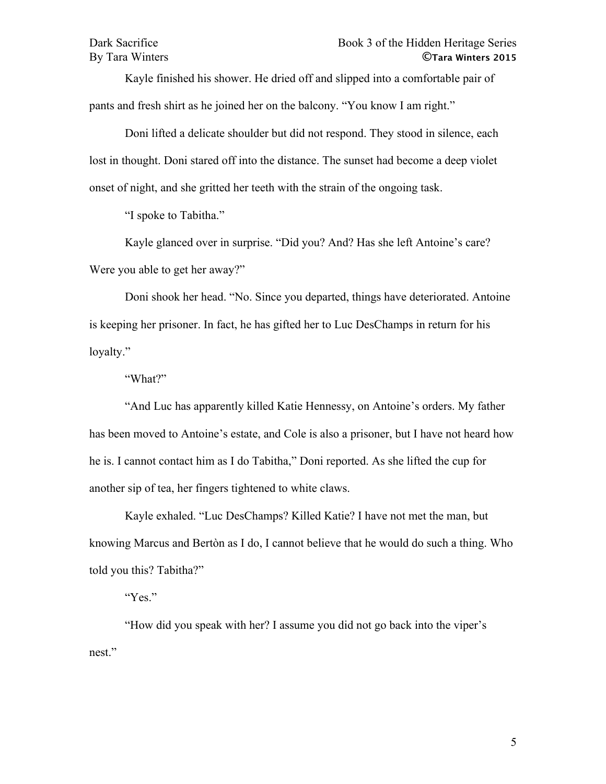Kayle finished his shower. He dried off and slipped into a comfortable pair of pants and fresh shirt as he joined her on the balcony. "You know I am right."

Doni lifted a delicate shoulder but did not respond. They stood in silence, each lost in thought. Doni stared off into the distance. The sunset had become a deep violet onset of night, and she gritted her teeth with the strain of the ongoing task.

"I spoke to Tabitha."

Kayle glanced over in surprise. "Did you? And? Has she left Antoine's care? Were you able to get her away?"

Doni shook her head. "No. Since you departed, things have deteriorated. Antoine is keeping her prisoner. In fact, he has gifted her to Luc DesChamps in return for his loyalty."

"What?"

"And Luc has apparently killed Katie Hennessy, on Antoine's orders. My father has been moved to Antoine's estate, and Cole is also a prisoner, but I have not heard how he is. I cannot contact him as I do Tabitha," Doni reported. As she lifted the cup for another sip of tea, her fingers tightened to white claws.

Kayle exhaled. "Luc DesChamps? Killed Katie? I have not met the man, but knowing Marcus and Bertòn as I do, I cannot believe that he would do such a thing. Who told you this? Tabitha?"

"Yes."

"How did you speak with her? I assume you did not go back into the viper's nest."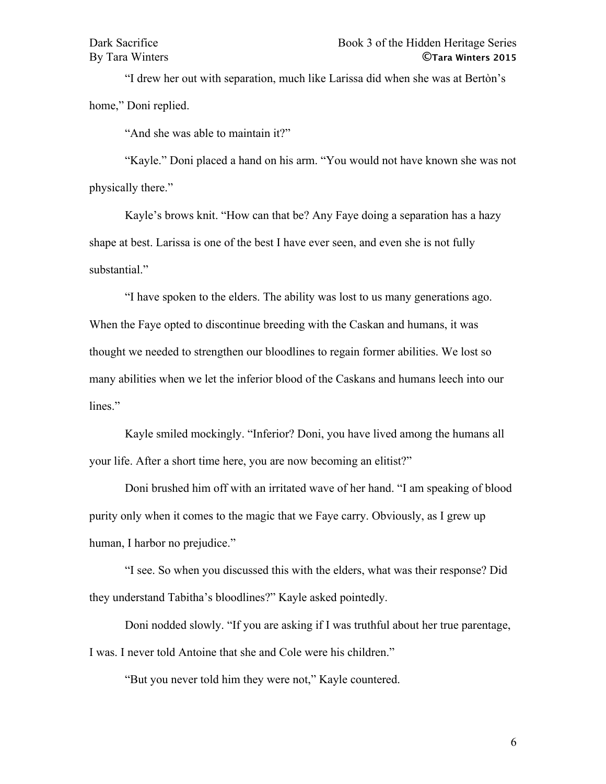"I drew her out with separation, much like Larissa did when she was at Bertòn's home," Doni replied.

"And she was able to maintain it?"

"Kayle." Doni placed a hand on his arm. "You would not have known she was not physically there."

Kayle's brows knit. "How can that be? Any Faye doing a separation has a hazy shape at best. Larissa is one of the best I have ever seen, and even she is not fully substantial."

"I have spoken to the elders. The ability was lost to us many generations ago. When the Faye opted to discontinue breeding with the Caskan and humans, it was thought we needed to strengthen our bloodlines to regain former abilities. We lost so many abilities when we let the inferior blood of the Caskans and humans leech into our lines."

Kayle smiled mockingly. "Inferior? Doni, you have lived among the humans all your life. After a short time here, you are now becoming an elitist?"

Doni brushed him off with an irritated wave of her hand. "I am speaking of blood purity only when it comes to the magic that we Faye carry. Obviously, as I grew up human, I harbor no prejudice."

"I see. So when you discussed this with the elders, what was their response? Did they understand Tabitha's bloodlines?" Kayle asked pointedly.

Doni nodded slowly. "If you are asking if I was truthful about her true parentage, I was. I never told Antoine that she and Cole were his children."

"But you never told him they were not," Kayle countered.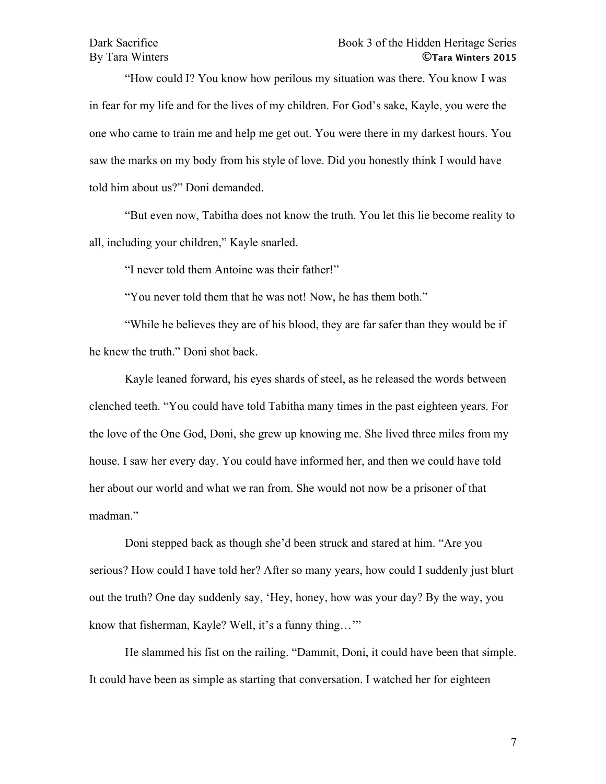# Dark Sacrifice Book 3 of the Hidden Heritage Series By Tara Winters **©Tara Winters 2015**

"How could I? You know how perilous my situation was there. You know I was in fear for my life and for the lives of my children. For God's sake, Kayle, you were the one who came to train me and help me get out. You were there in my darkest hours. You saw the marks on my body from his style of love. Did you honestly think I would have told him about us?" Doni demanded.

"But even now, Tabitha does not know the truth. You let this lie become reality to all, including your children," Kayle snarled.

"I never told them Antoine was their father!"

"You never told them that he was not! Now, he has them both."

"While he believes they are of his blood, they are far safer than they would be if he knew the truth." Doni shot back.

Kayle leaned forward, his eyes shards of steel, as he released the words between clenched teeth. "You could have told Tabitha many times in the past eighteen years. For the love of the One God, Doni, she grew up knowing me. She lived three miles from my house. I saw her every day. You could have informed her, and then we could have told her about our world and what we ran from. She would not now be a prisoner of that madman."

Doni stepped back as though she'd been struck and stared at him. "Are you serious? How could I have told her? After so many years, how could I suddenly just blurt out the truth? One day suddenly say, 'Hey, honey, how was your day? By the way, you know that fisherman, Kayle? Well, it's a funny thing…'"

He slammed his fist on the railing. "Dammit, Doni, it could have been that simple. It could have been as simple as starting that conversation. I watched her for eighteen

7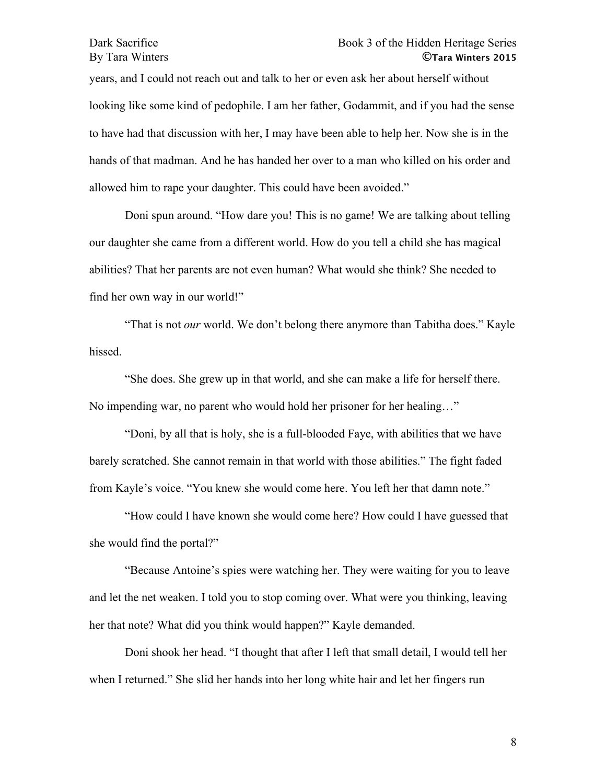# Dark Sacrifice Book 3 of the Hidden Heritage Series By Tara Winters **©Tara Winters 2015**

years, and I could not reach out and talk to her or even ask her about herself without looking like some kind of pedophile. I am her father, Godammit, and if you had the sense to have had that discussion with her, I may have been able to help her. Now she is in the hands of that madman. And he has handed her over to a man who killed on his order and allowed him to rape your daughter. This could have been avoided."

Doni spun around. "How dare you! This is no game! We are talking about telling our daughter she came from a different world. How do you tell a child she has magical abilities? That her parents are not even human? What would she think? She needed to find her own way in our world!"

"That is not *our* world. We don't belong there anymore than Tabitha does." Kayle hissed.

"She does. She grew up in that world, and she can make a life for herself there. No impending war, no parent who would hold her prisoner for her healing…"

"Doni, by all that is holy, she is a full-blooded Faye, with abilities that we have barely scratched. She cannot remain in that world with those abilities." The fight faded from Kayle's voice. "You knew she would come here. You left her that damn note."

"How could I have known she would come here? How could I have guessed that she would find the portal?"

"Because Antoine's spies were watching her. They were waiting for you to leave and let the net weaken. I told you to stop coming over. What were you thinking, leaving her that note? What did you think would happen?" Kayle demanded.

Doni shook her head. "I thought that after I left that small detail, I would tell her when I returned." She slid her hands into her long white hair and let her fingers run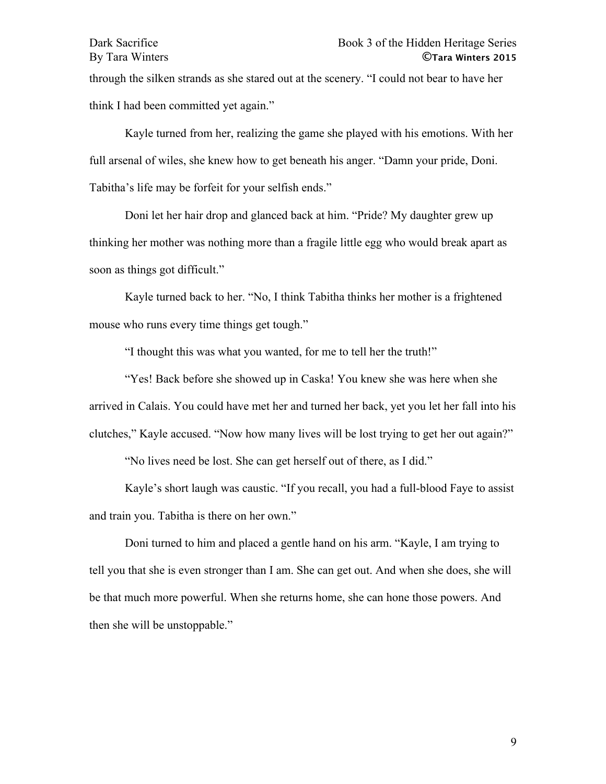through the silken strands as she stared out at the scenery. "I could not bear to have her think I had been committed yet again."

Kayle turned from her, realizing the game she played with his emotions. With her full arsenal of wiles, she knew how to get beneath his anger. "Damn your pride, Doni. Tabitha's life may be forfeit for your selfish ends."

Doni let her hair drop and glanced back at him. "Pride? My daughter grew up thinking her mother was nothing more than a fragile little egg who would break apart as soon as things got difficult."

Kayle turned back to her. "No, I think Tabitha thinks her mother is a frightened mouse who runs every time things get tough."

"I thought this was what you wanted, for me to tell her the truth!"

"Yes! Back before she showed up in Caska! You knew she was here when she arrived in Calais. You could have met her and turned her back, yet you let her fall into his clutches," Kayle accused. "Now how many lives will be lost trying to get her out again?"

"No lives need be lost. She can get herself out of there, as I did."

Kayle's short laugh was caustic. "If you recall, you had a full-blood Faye to assist and train you. Tabitha is there on her own."

Doni turned to him and placed a gentle hand on his arm. "Kayle, I am trying to tell you that she is even stronger than I am. She can get out. And when she does, she will be that much more powerful. When she returns home, she can hone those powers. And then she will be unstoppable."